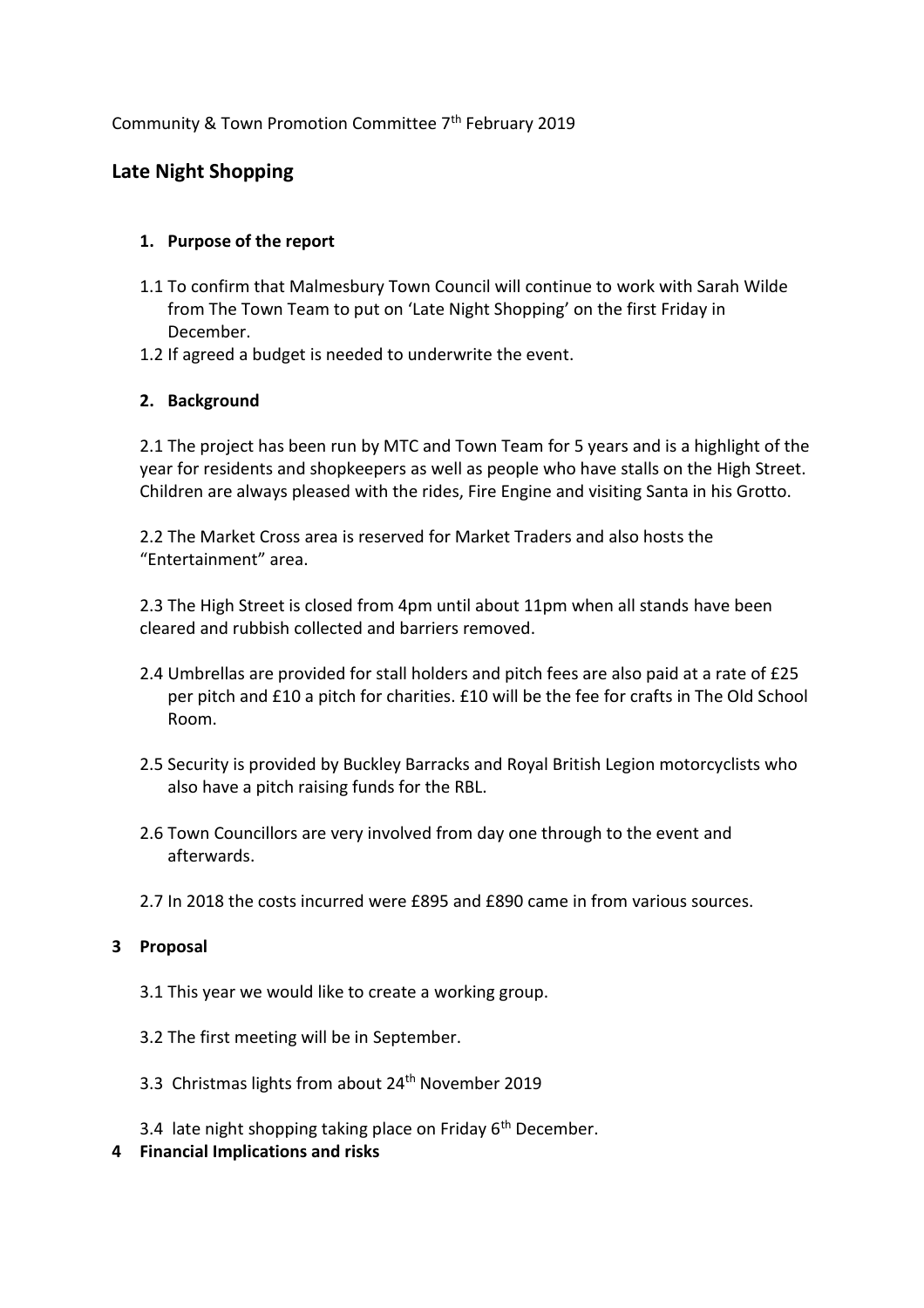# Community & Town Promotion Committee 7th February 2019

# **Late Night Shopping**

# **1. Purpose of the report**

- 1.1 To confirm that Malmesbury Town Council will continue to work with Sarah Wilde from The Town Team to put on 'Late Night Shopping' on the first Friday in December.
- 1.2 If agreed a budget is needed to underwrite the event.

### **2. Background**

2.1 The project has been run by MTC and Town Team for 5 years and is a highlight of the year for residents and shopkeepers as well as people who have stalls on the High Street. Children are always pleased with the rides, Fire Engine and visiting Santa in his Grotto.

2.2 The Market Cross area is reserved for Market Traders and also hosts the "Entertainment" area.

2.3 The High Street is closed from 4pm until about 11pm when all stands have been cleared and rubbish collected and barriers removed.

- 2.4 Umbrellas are provided for stall holders and pitch fees are also paid at a rate of £25 per pitch and £10 a pitch for charities. £10 will be the fee for crafts in The Old School Room.
- 2.5 Security is provided by Buckley Barracks and Royal British Legion motorcyclists who also have a pitch raising funds for the RBL.
- 2.6 Town Councillors are very involved from day one through to the event and afterwards.
- 2.7 In 2018 the costs incurred were £895 and £890 came in from various sources.

#### **3 Proposal**

- 3.1 This year we would like to create a working group.
- 3.2 The first meeting will be in September.
- 3.3 Christmas lights from about 24<sup>th</sup> November 2019
- 3.4 late night shopping taking place on Friday  $6<sup>th</sup>$  December.
- **4 Financial Implications and risks**